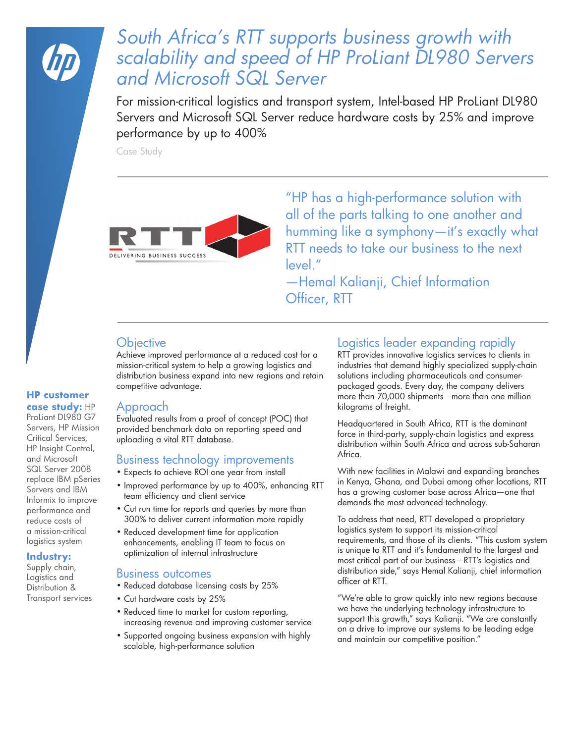

# *South Africa's RTT supports business growth with scalability and speed of HP ProLiant DL980 Servers and Microsoft SQL Server*

For mission-critical logistics and transport system, Intel-based HP ProLiant DL980 Servers and Microsoft SQL Server reduce hardware costs by 25% and improve performance by up to 400%

Case Study



"HP has a high-performance solution with all of the parts talking to one another and humming like a symphony—it's exactly what RTT needs to take our business to the next level."

—Hemal Kalianji, Chief Information Officer, RTT

# **Objective**

Achieve improved performance at a reduced cost for a mission-critical system to help a growing logistics and distribution business expand into new regions and retain competitive advantage.

### Approach

Evaluated results from a proof of concept (POC) that provided benchmark data on reporting speed and uploading a vital RTT database.

### Business technology improvements

- Expects to achieve ROI one year from install
- Improved performance by up to 400%, enhancing RTT team efficiency and client service
- Cut run time for reports and queries by more than 300% to deliver current information more rapidly
- Reduced development time for application enhancements, enabling IT team to focus on optimization of internal infrastructure

#### Business outcomes

- Reduced database licensing costs by 25%
- Cut hardware costs by 25%
- Reduced time to market for custom reporting, increasing revenue and improving customer service
- Supported ongoing business expansion with highly scalable, high-performance solution

### Logistics leader expanding rapidly

RTT provides innovative logistics services to clients in industries that demand highly specialized supply-chain solutions including pharmaceuticals and consumerpackaged goods. Every day, the company delivers more than 70,000 shipments—more than one million kilograms of freight.

Headquartered in South Africa, RTT is the dominant force in third-party, supply-chain logistics and express distribution within South Africa and across sub-Saharan Africa.

With new facilities in Malawi and expanding branches in Kenya, Ghana, and Dubai among other locations, RTT has a growing customer base across Africa—one that demands the most advanced technology.

To address that need, RTT developed a proprietary logistics system to support its mission-critical requirements, and those of its clients. "This custom system is unique to RTT and it's fundamental to the largest and most critical part of our business—RTT's logistics and distribution side," says Hemal Kalianji, chief information officer at RTT.

"We're able to grow quickly into new regions because we have the underlying technology infrastructure to support this growth," says Kalianji. "We are constantly on a drive to improve our systems to be leading edge and maintain our competitive position."

### **HP customer case study:** HP

ProLiant DL980 G7 Servers, HP Mission Critical Services, HP Insight Control, and Microsoft SQL Server 2008 replace IBM pSeries Servers and IBM Informix to improve performance and reduce costs of a mission-critical logistics system

### **Industry:**

Supply chain, Logistics and Distribution & Transport services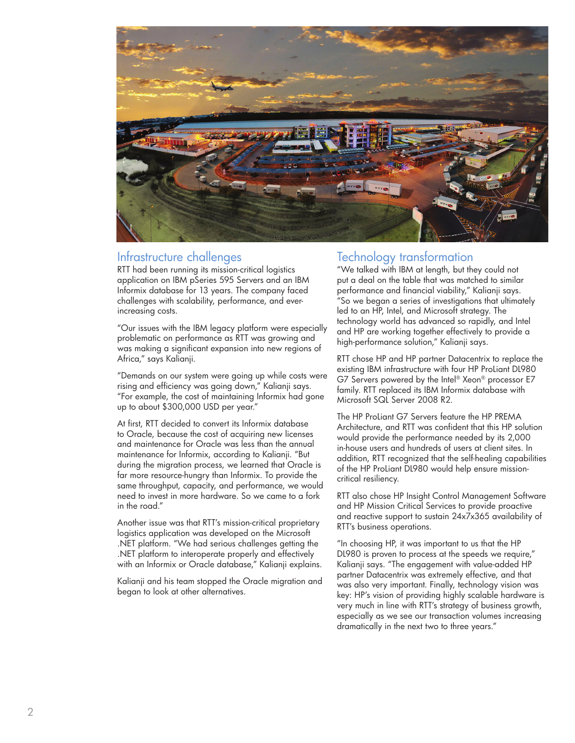

### Infrastructure challenges

RTT had been running its mission-critical logistics application on IBM pSeries 595 Servers and an IBM Informix database for 13 years. The company faced challenges with scalability, performance, and everincreasing costs.

"Our issues with the IBM legacy platform were especially problematic on performance as RTT was growing and was making a significant expansion into new regions of Africa," says Kalianji.

"Demands on our system were going up while costs were rising and efficiency was going down," Kalianji says. "For example, the cost of maintaining Informix had gone up to about \$300,000 USD per year."

At first, RTT decided to convert its Informix database to Oracle, because the cost of acquiring new licenses and maintenance for Oracle was less than the annual maintenance for Informix, according to Kalianji. "But during the migration process, we learned that Oracle is far more resource-hungry than Informix. To provide the same throughput, capacity, and performance, we would need to invest in more hardware. So we came to a fork in the road."

Another issue was that RTT's mission-critical proprietary logistics application was developed on the Microsoft .NET platform. "We had serious challenges getting the .NET platform to interoperate properly and effectively with an Informix or Oracle database," Kalianji explains.

Kalianji and his team stopped the Oracle migration and began to look at other alternatives.

### Technology transformation

"We talked with IBM at length, but they could not put a deal on the table that was matched to similar performance and financial viability," Kalianji says. "So we began a series of investigations that ultimately led to an HP, Intel, and Microsoft strategy. The technology world has advanced so rapidly, and Intel and HP are working together effectively to provide a high-performance solution," Kalianji says.

RTT chose HP and HP partner Datacentrix to replace the existing IBM infrastructure with four HP ProLiant DL980 G7 Servers powered by the Intel® Xeon® processor E7 family. RTT replaced its IBM Informix database with Microsoft SQL Server 2008 R2.

The HP ProLiant G7 Servers feature the HP PREMA Architecture, and RTT was confident that this HP solution would provide the performance needed by its 2,000 in-house users and hundreds of users at client sites. In addition, RTT recognized that the self-healing capabilities of the HP ProLiant DL980 would help ensure missioncritical resiliency.

RTT also chose HP Insight Control Management Software and HP Mission Critical Services to provide proactive and reactive support to sustain 24x7x365 availability of RTT's business operations.

"In choosing HP, it was important to us that the HP DL980 is proven to process at the speeds we require," Kalianji says. "The engagement with value-added HP partner Datacentrix was extremely effective, and that was also very important. Finally, technology vision was key: HP's vision of providing highly scalable hardware is very much in line with RTT's strategy of business growth, especially as we see our transaction volumes increasing dramatically in the next two to three years."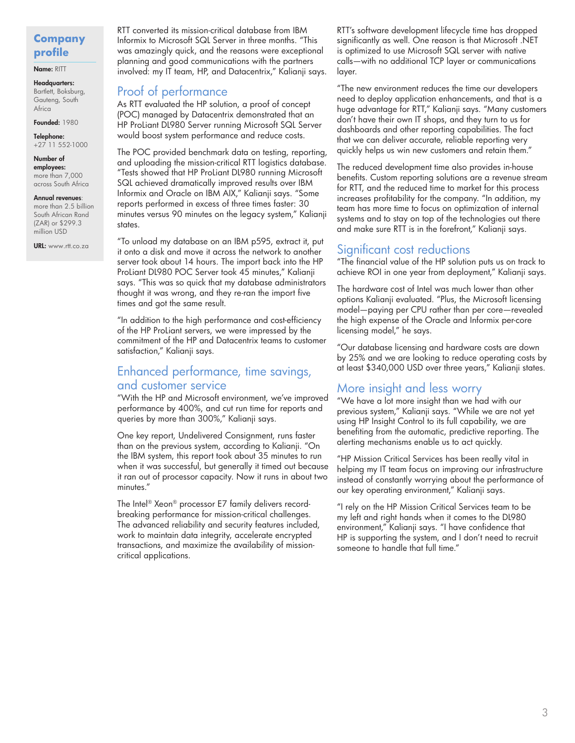### **Company profile**

Name: RITT

Headquarters: Bartlett, Boksburg, Gauteng, South Africa

## **Founded: 1980**

Telephone: +27 11 552-1000

# Number of

employees: more than 7,000 across South Africa

#### Annual revenues:

more than 2.5 billion South African Rand (ZAR) or \$299.3 million USD

URL: [www.rtt.co.za](http://www.rtt.co.za)

RTT converted its mission-critical database from IBM Informix to Microsoft SQL Server in three months. "This was amazingly quick, and the reasons were exceptional planning and good communications with the partners involved: my IT team, HP, and Datacentrix," Kalianji says.

### Proof of performance

As RTT evaluated the HP solution, a proof of concept (POC) managed by Datacentrix demonstrated that an HP ProLiant DL980 Server running Microsoft SQL Server would boost system performance and reduce costs.

The POC provided benchmark data on testing, reporting, and uploading the mission-critical RTT logistics database. "Tests showed that HP ProLiant DL980 running Microsoft SQL achieved dramatically improved results over IBM Informix and Oracle on IBM AIX," Kalianji says. "Some reports performed in excess of three times faster: 30 minutes versus 90 minutes on the legacy system," Kalianji states.

"To unload my database on an IBM p595, extract it, put it onto a disk and move it across the network to another server took about 14 hours. The import back into the HP ProLiant DL980 POC Server took 45 minutes," Kalianji says. "This was so quick that my database administrators thought it was wrong, and they re-ran the import five times and got the same result.

"In addition to the high performance and cost-efficiency of the HP ProLiant servers, we were impressed by the commitment of the HP and Datacentrix teams to customer satisfaction," Kalianji says.

### Enhanced performance, time savings, and customer service

"With the HP and Microsoft environment, we've improved performance by 400%, and cut run time for reports and queries by more than 300%," Kalianji says.

One key report, Undelivered Consignment, runs faster than on the previous system, according to Kalianji. "On the IBM system, this report took about 35 minutes to run when it was successful, but generally it timed out because it ran out of processor capacity. Now it runs in about two minutes."

The Intel® Xeon® processor E7 family delivers recordbreaking performance for mission-critical challenges. The advanced reliability and security features included, work to maintain data integrity, accelerate encrypted transactions, and maximize the availability of missioncritical applications.

RTT's software development lifecycle time has dropped significantly as well. One reason is that Microsoft .NET is optimized to use Microsoft SQL server with native calls—with no additional TCP layer or communications layer.

"The new environment reduces the time our developers need to deploy application enhancements, and that is a huge advantage for RTT," Kalianji says. "Many customers don't have their own IT shops, and they turn to us for dashboards and other reporting capabilities. The fact that we can deliver accurate, reliable reporting very quickly helps us win new customers and retain them."

The reduced development time also provides in-house benefits. Custom reporting solutions are a revenue stream for RTT, and the reduced time to market for this process increases profitability for the company. "In addition, my team has more time to focus on optimization of internal systems and to stay on top of the technologies out there and make sure RTT is in the forefront," Kalianji says.

### Significant cost reductions

"The financial value of the HP solution puts us on track to achieve ROI in one year from deployment," Kalianji says.

The hardware cost of Intel was much lower than other options Kalianji evaluated. "Plus, the Microsoft licensing model—paying per CPU rather than per core—revealed the high expense of the Oracle and Informix per-core licensing model," he says.

"Our database licensing and hardware costs are down by 25% and we are looking to reduce operating costs by at least \$340,000 USD over three years," Kalianji states.

### More insight and less worry

"We have a lot more insight than we had with our previous system," Kalianji says. "While we are not yet using HP Insight Control to its full capability, we are benefiting from the automatic, predictive reporting. The alerting mechanisms enable us to act quickly.

"HP Mission Critical Services has been really vital in helping my IT team focus on improving our infrastructure instead of constantly worrying about the performance of our key operating environment," Kalianji says.

"I rely on the HP Mission Critical Services team to be my left and right hands when it comes to the DL980 environment," Kalianji says. "I have confidence that HP is supporting the system, and I don't need to recruit someone to handle that full time."